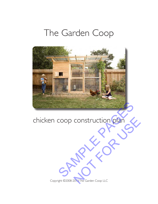# The Garden Coop



# chicken coop construction plan CONStruction plan

Copyright ©2008-2013 The Garden Coop LLC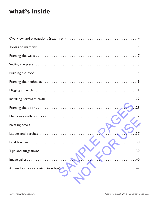# **what's inside**

| 25                                                 |
|----------------------------------------------------|
|                                                    |
|                                                    |
| $\ldots$ 37                                        |
| $\bullet$ for $\bullet$ . The summarized $\bullet$ |
| Tips and suggestions<br>.39                        |
| .40                                                |
| Appendix (more construction tips).<br>.42<br>.     |
|                                                    |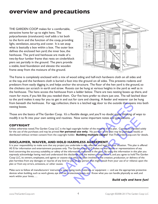# **overview and precautions**

THE GARDEN COOP makes for a comfortable, attractive home for up to eight hens. The polycarbonate (translucent) roof adds a lot both to the form and the function of the coop, providing light, ventilation, security, and cover. It is set atop what is basically a box within a box. The outer box defines the enclosed hen yard; the inner box, the henhouse. The yard and henhouse are made of a two-by-four lumber frame that rests on cinderblock piers set partially in the ground. The piers provide a stable, level foundation and elevate the wooden frame away from the moisture of the ground.



The frame is completely enclosed with a mix of wood siding and half-inch hardware cloth on all sides and at the top, and the hardware cloth is buried a foot into the ground on all sides. This prevents rodents and predators from easily digging in, and helps anchor the structure. The floor of the hen yard is the ground, so the chickens can scratch in earth and straw. Roosts can be hung at various heights in the yard as well as in the henhouse. The hens access the henhouse from a ladder below. There are two nesting boxes up there, and room for more, if you felt like you needed them. Our five hens prefer to share just one. The tall latched door to the yard makes it easy for you to get in and out for care and cleaning. A feeder and waterer can be hung from beneath the henhouse. For egg collection, there is a latched egg door to the outside that opens into both nesting boxes.

Those are the basics of The Garden Coop. It's a flexible design, and you'll no doubt enjoy thinking of ways to modify it to fit into your own setting and routines. Now some important notes and precautions. . .

### **COPYRIGHT**

Unless otherwise noted, The Garden Coop LLC is the legal copyright holder of the material in this plan. Content is intended solely for the use of the purchaser, and may be printed **for personal use only.** No portion of the plan may be published, resold, or distributed without written consent from the copyright holder. **Building multiple coops?** Visit TheGardenCoop.com for details.

### **DISCLAIMER, WAIVER, AND HOLD HARMLESS AGREEMENT**

It is your responsibility to make sure that any project you undertake is safe, effective, and legal for your situation. This plan is offered AS IS for information and entertainment purposes only. The Garden Coop LLC makes no warranties or representations of any kind concerning the accuracy, suitability, or safety of the information contained in the plan. By using this information in this plan you expressly acknowledge having read and understood this disclaimer and the waivers contained in it, and you agree to hold The Garden Coop LLC, its owners, employees, and agents or anyone else who has been involved in the creation, production, or delivery of the plan harmless from any damages or injuries of any kind to you or any person that might result from your use of or reliance upon the plan or from any errors, omissions, or other causes. ollection, there is a latched egg door to the outside that opens in<br>
soop. It's a flexible design, and you'll no doubt enjoy thinking of word<br>
routines. Now some important notes and precautions...<br>
C is the legal copyright Now some important notes and precautions...<br>
Suppright holder of the material in this plan. Content is intended sal use only. No portion of the plan may be published, resold, <br>
F. Building multiple coops? Visit The Garden

Make sure to follow all manufacturers' instructions when using tools, materials, or equipment — and use the appropriate protective devices when building, such as work gloves, eye and ear protection, boots, etc. Know what you can handle physically as well, and work within your limits. . . .

### *Build safe and have fun!*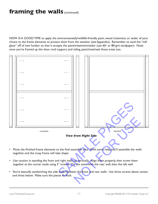# **framing the walls (continued)**

NOW IS A GOOD TIME to apply the environmentally/wildlife-friendly paint, wood treatment, or sealer of your choice to the frame elements to protect them from the weather (see Appendix). Remember to sand the "mill glaze" off of new lumber so that it accepts the paint/treatment/sealer (use 60- or 80-grit sandpaper). Note: once you've framed up the door, roof support, and siding, paint/treat/seal those areas too.



- Move the finished frame elements to the final assembly area. With some help, you'll assemble the walls together, and the coop frame will take shape.
- Use caution in standing the front and right walls up vertically. Align them properly, then screw them together at the corner studs using 3" screws. Do the same with the rear wall, then the left wall.
- You're basically sandwiching the side walls between the front and rear walls. Use three screws above center, and three below. Make sure the pieces fit flush.

www.TheGardenCoop.com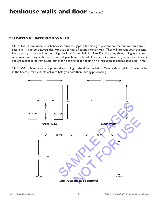# **henhouse walls and floor** (continued)

### **"FLOATING" INTERIOR WALLS**

- STEP ONE: From inside your henhouse, caulk the gaps in the siding to prevent cold air and moisture from getting in. If you do this, you also want to add these floating interior walls. They will prevent your chickens from pecking at the caulk in the siding, block drafts, and help insulate. If you're using sheet siding instead or otherwise not using caulk, then these wall panels are optional. They do not permanently attach to the frame and are meant to be removable, either for cleaning or for adding rigid insulation as desired (see Step Three).
- STEP TWO: Measure and cut plywood according to the diagrams below. Where shown, drill 1" finger holes in the boards (rear and left walls) to help you hold them during positioning.

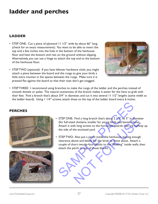# **ladder and perches**

## **LADDER**

- STEP ONE: Cut a piece of plywood 11 1/2" wide by about 66" long (check for an exact measurement). You want to be able to insert the top end a few inches into the hole in the bottom of the henhouse floor and have the bottom end rest on the ground without slipping. Alternatively, you can use a hinge to attach the top end to the bottom of the henhouse floor.
- STEP TWO (optional): If you have leftover hardware cloth, you might attach a piece between the board and the rungs to give your birds a little extra traction in the spaces between the rungs. Make sure it is pressed flat against the board so that their toes don't get snagged.



• STEP THREE: I recommend using branches to make the rungs of the ladder and the perches instead of smooth dowels or poles. The natural unevenness of the branch makes it easier for the hens to grab with their feet. Find a branch that's about 3/4" in diameter, and cut it into several 11 1/2" lengths (same width as the ladder board). Using 1 1/4" screws, attach these to the top of the ladder board every 6 inches.

### **PERCHES**





- STEP ONE: Find a long branch that's about 2 1/2" to 3" in diameter (for full-sized chickens, smaller for young birds and bantam hens). Attach it with long screws to the horizontal boards that are halfway up the side of the enclosed yard.
- STEP TWO: Also put a perch inside the henhouse, leaving enough clearance above and below for the birds to move about. Attach a couple of short two-by-four blocks to the "floating" inside walls, then attach the perch to top of those blocks. STEP ONE: Find a long branch that's about 2 1/2" to 3" in diam<br>(for full-sized chickens, smaller for young birds and bantam hens<br>Attach it with long screws to the horizontal boards that are half<br>the side of the enclosed ya Find a long branch that's about 2 J/2" to 3" in diamet<br>d chickens, smaller for young birds and bantam hens).<br>th long screws to the horizontal boards that are halfw<br>the enclosed yard.<br><br>Experiment in the control of the birds